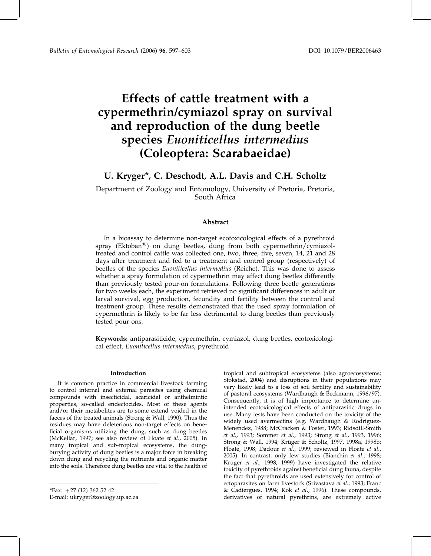# Effects of cattle treatment with a cypermethrin/cymiazol spray on survival and reproduction of the dung beetle species Euoniticellus intermedius (Coleoptera: Scarabaeidae)

# U. Kryger\*, C. Deschodt, A.L. Davis and C.H. Scholtz

Department of Zoology and Entomology, University of Pretoria, Pretoria, South Africa

# Abstract

In a bioassay to determine non-target ecotoxicological effects of a pyrethroid spray (Ektoban<sup>®</sup>) on dung beetles, dung from both cypermethrin/cymiazoltreated and control cattle was collected one, two, three, five, seven, 14, 21 and 28 days after treatment and fed to a treatment and control group (respectively) of beetles of the species Euoniticellus intermedius (Reiche). This was done to assess whether a spray formulation of cypermethrin may affect dung beetles differently than previously tested pour-on formulations. Following three beetle generations for two weeks each, the experiment retrieved no significant differences in adult or larval survival, egg production, fecundity and fertility between the control and treatment group. These results demonstrated that the used spray formulation of cypermethrin is likely to be far less detrimental to dung beetles than previously tested pour-ons.

Keywords: antiparasiticide, cypermethrin, cymiazol, dung beetles, ecotoxicological effect, Euoniticellus intermedius, pyrethroid

#### Introduction

It is common practice in commercial livestock farming to control internal and external parasites using chemical compounds with insecticidal, acaricidal or anthelmintic properties, so-called endectocides. Most of these agents and/or their metabolites are to some extend voided in the faeces of the treated animals (Strong & Wall, 1990). Thus the residues may have deleterious non-target effects on beneficial organisms utilizing the dung, such as dung beetles (McKellar, 1997; see also review of Floate et al., 2005). In many tropical and sub-tropical ecosystems, the dungburying activity of dung beetles is a major force in breaking down dung and recycling the nutrients and organic matter into the soils. Therefore dung beetles are vital to the health of

\*Fax:  $+27$  (12) 362 52 42 E-mail: ukryger@zoology.up.ac.za

tropical and subtropical ecosystems (also agroecosystems; Stokstad, 2004) and disruptions in their populations may very likely lead to a loss of soil fertility and sustainability of pastoral ecosystems (Wardhaugh & Beckmann, 1996/97). Consequently, it is of high importance to determine unintended ecotoxicological effects of antiparasitic drugs in use. Many tests have been conducted on the toxicity of the widely used avermectins (e.g. Wardhaugh & Rodriguez-Menendez, 1988; McCracken & Foster, 1993; Ridsdill-Smith et al., 1993; Sommer et al., 1993; Strong et al., 1993, 1996; Strong & Wall, 1994; Krüger & Scholtz, 1997, 1998a, 1998b; Floate, 1998; Dadour et al., 1999; reviewed in Floate et al., 2005). In contrast, only few studies (Bianchin et al., 1998; Krüger et al., 1998, 1999) have investigated the relative toxicity of pyrethroids against beneficial dung fauna, despite the fact that pyrethroids are used extensively for control of ectoparasites on farm livestock (Srivastava et al., 1993; Franc & Cadiergues, 1994; Kok et al., 1996). These compounds, derivatives of natural pyrethrins, are extremely active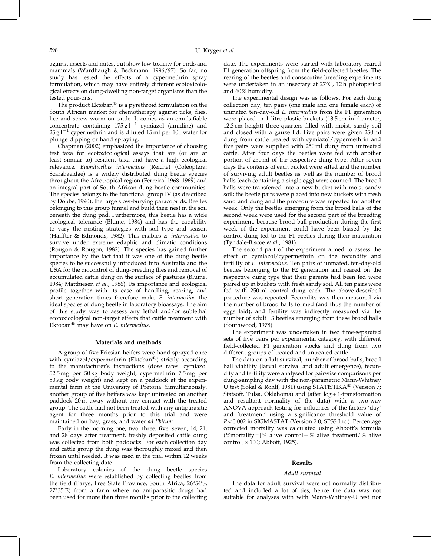against insects and mites, but show low toxicity for birds and mammals (Wardhaugh & Beckmann, 1996/97). So far, no study has tested the effects of a cypermethrin spray formulation, which may have entirely different ecotoxicological effects on dung-dwelling non-target organisms than the tested pour-ons.

The product Ektoban $\mathbb{B}$  is a pyrethroid formulation on the South African market for chemotherapy against ticks, flies, lice and screw-worm on cattle. It comes as an emulsifiable concentrate containing  $175 \text{ g}^{-1}$  cymiazol (amidine) and  $25 \text{ g}1^{-1}$  cypermethrin and is diluted 15 ml per 101 water for plunge dipping or hand spraying.

Chapman (2002) emphasized the importance of choosing test taxa for ecotoxicological assays that are (or are at least similar to) resident taxa and have a high ecological relevance. Euoniticellus intermedius (Reiche) (Coleoptera: Scarabaeidae) is a widely distributed dung beetle species throughout the Afrotropical region (Ferreira, 1968–1969) and an integral part of South African dung beetle communities. The species belongs to the functional group IV (as described by Doube, 1990), the large slow-burying paracoprids. Beetles belonging to this group tunnel and build their nest in the soil beneath the dung pad. Furthermore, this beetle has a wide ecological tolerance (Blume, 1984) and has the capability to vary the nesting strategies with soil type and season (Halffter & Edmonds, 1982). This enables E. intermedius to survive under extreme edaphic and climatic conditions (Rougon & Rougon, 1982). The species has gained further importance by the fact that it was one of the dung beetle species to be successfully introduced into Australia and the USA for the biocontrol of dung-breeding flies and removal of accumulated cattle dung on the surface of pastures (Blume, 1984; Matthiesen et al., 1986). Its importance and ecological profile together with its ease of handling, rearing, and short generation times therefore make E. intermedius the ideal species of dung beetle in laboratory bioassays. The aim of this study was to assess any lethal and/or sublethal ecotoxicological non-target effects that cattle treatment with Ektoban $^{\circledR}$  may have on E. intermedius.

## Materials and methods

A group of five Friesian heifers were hand-sprayed once with cymiazol/cypermethrin (Ektoban<sup>®</sup>) strictly according to the manufacturer's instructions (dose rates: cymiazol 52.5 mg per 50 kg body weight, cypermethrin 7.5 mg per 50 kg body weight) and kept on a paddock at the experimental farm at the University of Pretoria. Simultaneously, another group of five heifers was kept untreated on another paddock 20 m away without any contact with the treated group. The cattle had not been treated with any antiparasitic agent for three months prior to this trial and were maintained on hay, grass, and water ad libitum.

Early in the morning one, two, three, five, seven, 14, 21, and 28 days after treatment, freshly deposited cattle dung was collected from both paddocks. For each collection day and cattle group the dung was thoroughly mixed and then frozen until needed. It was used in the trial within 12 weeks from the collecting date.

Laboratory colonies of the dung beetle species E. intermedius were established by collecting beetles from the field (Parys, Free State Province, South Africa, 26°54'S, 27°35'E) from a farm where no antiparasitic drugs had been used for more than three months prior to the collecting date. The experiments were started with laboratory reared F1 generation offspring from the field-collected beetles. The rearing of the beetles and consecutive breeding experiments were undertaken in an insectary at 27°C, 12 h photoperiod and 60% humidity.

The experimental design was as follows. For each dung collection day, ten pairs (one male and one female each) of unmated ten-day-old E. intermedius from the F1 generation were placed in 1 litre plastic buckets (13.5 cm in diameter, 12.3 cm height) three-quarters filled with moist, sandy soil and closed with a gauze lid. Five pairs were given 250 ml dung from cattle treated with cymiazol/cypermethrin and five pairs were supplied with 250 ml dung from untreated cattle. After four days the beetles were fed with another portion of 250 ml of the respective dung type. After seven days the contents of each bucket were sifted and the number of surviving adult beetles as well as the number of brood balls (each containing a single egg) were counted. The brood balls were transferred into a new bucket with moist sandy soil; the beetle pairs were placed into new buckets with fresh sand and dung and the procedure was repeated for another week. Only the beetles emerging from the brood balls of the second week were used for the second part of the breeding experiment, because brood ball production during the first week of the experiment could have been biased by the control dung fed to the F1 beetles during their maturation (Tyndale-Biscoe et al., 1981).

The second part of the experiment aimed to assess the effect of cymiazol/cypermethrin on the fecundity and fertility of E. *intermedius*. Ten pairs of unmated, ten-day-old beetles belonging to the F2 generation and reared on the respective dung type that their parents had been fed were paired up in buckets with fresh sandy soil. All ten pairs were fed with 250 ml control dung each. The above-described procedure was repeated. Fecundity was then measured via the number of brood balls formed (and thus the number of eggs laid), and fertility was indirectly measured via the number of adult F3 beetles emerging from these brood balls (Southwood, 1978).

The experiment was undertaken in two time-separated sets of five pairs per experimental category, with different field-collected F1 generation stocks and dung from two different groups of treated and untreated cattle.

The data on adult survival, number of brood balls, brood ball viability (larval survival and adult emergence), fecundity and fertility were analysed for pairwise comparisons per dung-sampling day with the non-parametric Mann-Whitney U test (Sokal & Rohlf, 1981) using STATISTIKA<sup>®</sup> (Version 7; Statsoft, Tulsa, Oklahoma) and (after  $log+1$ -transformation and resultant normality of the data) with a two-way ANOVA approach testing for influences of the factors 'day' and 'treatment' using a significance threshold value of P < 0.002 in SIGMASTAT (Version 2.0; SPSS Inc.). Percentage corrected mortality was calculated using Abbott's formula (%mortality =  $\frac{1}{6}$  alive control - % alive treatment/% alive control] $\times$ 100; Abbott, 1925).

#### Results

### Adult survival

The data for adult survival were not normally distributed and included a lot of ties; hence the data was not suitable for analyses with with Mann-Whitney-U test nor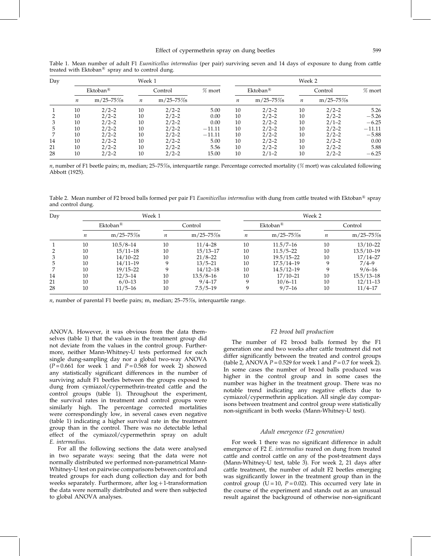| Day |                             |                | Week 1           | Week 2          |          |         |                        |                  |                |          |
|-----|-----------------------------|----------------|------------------|-----------------|----------|---------|------------------------|------------------|----------------|----------|
|     | Ektoban <sup><i>®</i></sup> |                | Control          |                 | $%$ mort |         | $Ektoban^{\mathbb{B}}$ | Control          |                | $%$ mort |
|     | $\it n$                     | $m/25 - 75\%s$ | $\boldsymbol{n}$ | $m/25 - 75\%$ s |          | $\it n$ | $m/25 - 75\%$          | $\boldsymbol{n}$ | $m/25 - 75\%s$ |          |
|     | 10                          | $2/2 - 2$      | 10               | $2/2 - 2$       | 5.00     | 10      | $2/2 - 2$              | 10               | $2/2 - 2$      | 5.26     |
|     | 10                          | $2/2 - 2$      | 10               | $2/2 - 2$       | 0.00     | 10      | $2/2-2$                | 10               | $2/2 - 2$      | $-5.26$  |
|     | 10                          | $2/2 - 2$      | 10               | $2/2 - 2$       | 0.00     | 10      | $2/2-2$                | 10               | $2/1 - 2$      | $-6.25$  |
|     | 10                          | $2/2 - 2$      | 10               | $2/2 - 2$       | $-11.11$ | 10      | $2/2-2$                | 10               | $2/2 - 2$      | $-11.11$ |
|     | 10                          | $2/2 - 2$      | 10               | $2/2 - 2$       | $-11.11$ | 10      | $2/2 - 2$              | 10               | $2/2 - 2$      | $-5.88$  |
| 14  | 10                          | $2/2 - 2$      | 10               | $2/2 - 2$       | 5.00     | 10      | $2/2-2$                | 10               | $2/2 - 2$      | 0.00     |
| 21  | 10                          | $2/2 - 2$      | 10               | $2/2 - 2$       | 5.56     | 10      | $2/2-2$                | 10               | $2/2 - 2$      | 5.88     |
| 28  | 10                          | $2/2 - 2$      | 10               | $2/2 - 2$       | 15.00    | 10      | $2/1-2$                | 10               | $2/2 - 2$      | $-6.25$  |

Table 1. Mean number of adult F1 Euoniticellus intermedius (per pair) surviving seven and 14 days of exposure to dung from cattle treated with  $Ek$ toban $\mathbb{B}$  spray and to control dung.

 $n$ , number of F1 beetle pairs; m, median; 25-75%s, interquartile range. Percentage corrected mortality (% mort) was calculated following Abbott (1925).

Table 2. Mean number of F2 brood balls formed per pair F1 Euoniticellus intermedius with dung from cattle treated with Ektoban<sup>®</sup> spray and control dung.

| Day |                         |                | Week 1  |                | Week 2                 |                |                  |                |  |
|-----|-------------------------|----------------|---------|----------------|------------------------|----------------|------------------|----------------|--|
|     | $Ektoban^{\mathcal{B}}$ |                | Control |                | $Ektoban^{\mathbb{B}}$ |                | Control          |                |  |
|     | $\boldsymbol{n}$        | $m/25 - 75\%s$ | п       | $m/25 - 75\%s$ | п                      | $m/25 - 75\%$  | $\boldsymbol{n}$ | $m/25 - 75\%$  |  |
|     | 10                      | $10.5/8 - 14$  | 10      | $11/4 - 28$    | 10                     | $11.5/7 - 16$  | 10               | $13/10 - 22$   |  |
|     | 10                      | $15/11 - 18$   | 10      | $15/13 - 17$   | 10                     | $11.5/5 - 22$  | 10               | 13.5/10-19     |  |
|     | 10                      | $14/10 - 22$   | 10      | $21/8 - 22$    | 10                     | $19.5/15 - 22$ | 10               | $17/14 - 27$   |  |
|     | 10                      | $14/11-19$     | 9       | $13/5 - 21$    | 10                     | 17.5/14-19     |                  | $7/4 - 9$      |  |
|     | 10                      | $19/15 - 22$   | 9       | $14/12 - 18$   | 10                     | $14.5/12 - 19$ | q                | $9/6 - 16$     |  |
| 14  | 10                      | $12/3 - 14$    | 10      | $13.5/8 - 16$  | 10                     | $17/10 - 21$   | 10               | $15.5/13 - 18$ |  |
| 21  | 10                      | $6/0-13$       | 10      | $9/4 - 17$     | 9                      | $10/6 - 11$    | 10               | $12/11-13$     |  |
| 28  | 10                      | $11/5 - 16$    | 10      | $7.5/5 - 19$   | 9                      | $9/7 - 16$     | 10               | $11/4 - 17$    |  |

 $n$ , number of parental F1 beetle pairs; m, median; 25–75%s, interquartile range.

ANOVA. However, it was obvious from the data themselves (table 1) that the values in the treatment group did not deviate from the values in the control group. Furthermore, neither Mann-Whitney-U tests performed for each single dung-sampling day nor a global two-way ANOVA  $(P=0.661$  for week 1 and  $P=0.568$  for week 2) showed any statistically significant differences in the number of surviving adult F1 beetles between the groups exposed to dung from cymiazol/cypermethrin-treated cattle and the control groups (table 1). Throughout the experiment, the survival rates in treatment and control groups were similarly high. The percentage corrected mortalities were correspondingly low, in several cases even negative (table 1) indicating a higher survival rate in the treatment group than in the control. There was no detectable lethal effect of the cymiazol/cypermethrin spray on adult E. intermedius.

For all the following sections the data were analysed in two separate ways: seeing that the data were not normally distributed we performed non-parametrical Mann-Whitney-U test on pairwise comparisons between control and treated groups for each dung collection day and for both weeks separately. Furthermore, after  $log+1$ -transformation the data were normally distributed and were then subjected to global ANOVA analyses.

# F2 brood ball production

The number of F2 brood balls formed by the F1 generation one and two weeks after cattle treatment did not differ significantly between the treated and control groups (table 2, ANOVA  $P = 0.529$  for week 1 and  $P = 0.7$  for week 2). In some cases the number of brood balls produced was higher in the control group and in some cases the number was higher in the treatment group. There was no notable trend indicating any negative effects due to cymiazol/cypermethrin application. All single day comparisons between treatment and control group were statistically non-significant in both weeks (Mann-Whitney-U test).

# Adult emergence (F2 generation)

For week 1 there was no significant difference in adult emergence of F2 E. intermedius reared on dung from treated cattle and control cattle on any of the post-treatment days (Mann-Whitney-U test, table 3). For week 2, 21 days after cattle treatment, the number of adult F2 beetles emerging was significantly lower in the treatment group than in the control group (U = 10,  $P = 0.02$ ). This occurred very late in the course of the experiment and stands out as an unusual result against the background of otherwise non-significant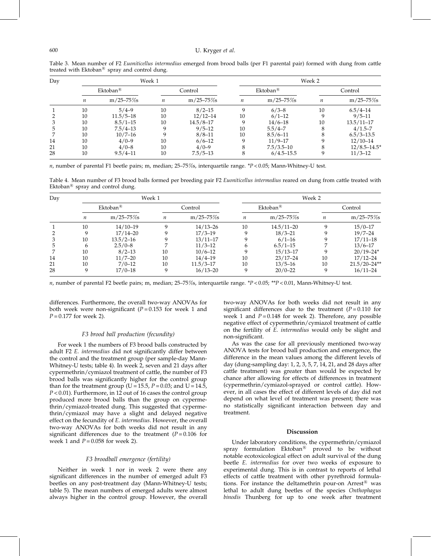| Day | Week 1                 |                |                  |               |                        | Week 2         |         |                  |  |  |
|-----|------------------------|----------------|------------------|---------------|------------------------|----------------|---------|------------------|--|--|
|     | $Ektoban$ <sup>®</sup> |                | Control          |               | $Ektoban^{\mathbb{B}}$ |                | Control |                  |  |  |
|     | $\boldsymbol{n}$       | $m/25 - 75\%s$ | $\boldsymbol{n}$ | $m/25 - 75\%$ | $\boldsymbol{n}$       | $m/25 - 75\%s$ | n       | $m/25 - 75\%s$   |  |  |
|     | 10                     | $5/4 - 9$      | 10               | $8/2 - 15$    | 9                      | $6/3 - 8$      | 10      | $6.5/4 - 14$     |  |  |
|     | 10                     | $11.5/5 - 18$  | 10               | $12/12 - 14$  | 10                     | $6/1-12$       |         | $9/5 - 11$       |  |  |
|     | 10                     | $8.5/1 - 15$   | 10               | $14.5/8 - 17$ | 9                      | $14/6 - 18$    | 10      | $13.5/11 - 17$   |  |  |
|     | 10                     | $7.5/4 - 13$   | q                | $9/5 - 12$    | 10                     | $5.5/4 - 7$    | 8       | $4/1.5 - 7$      |  |  |
|     | 10                     | $10/7 - 16$    | q                | $8/8 - 11$    | 10                     | $8.5/6 - 11$   | 8       | $6.5/3 - 13.5$   |  |  |
| 14  | 10                     | $4/0-9$        | 10               | $6/6 - 12$    | 9                      | $11/9 - 17$    |         | $12/10 - 14$     |  |  |
| 21  | 10                     | $4/0 - 8$      | 10               | $4/0-9$       | 8                      | $7.5/3.5 - 10$ | 8       | $12/8.5 - 14.5*$ |  |  |
| 28  | 10                     | $9.5/4 - 11$   | 10               | $7.5/5 - 13$  | 8                      | $6/4.5 - 15.5$ |         | $11/3 - 12$      |  |  |

Table 3. Mean number of F2 Euoniticellus intermedius emerged from brood balls (per F1 parental pair) formed with dung from cattle treated with Ektoban $\mathbb{R}$  spray and control dung.

 $n$ , number of parental F1 beetle pairs; m, median; 25–75%s, interquartile range. \*P < 0.05; Mann-Whitney-U test.

Table 4. Mean number of F3 brood balls formed per breeding pair F2 Euoniticellus intermedius reared on dung from cattle treated with Ektoban $\mathbb{B}$  spray and control dung.

| Day |                        |                | Week 1           |               | Week 2                 |                |          |                  |  |
|-----|------------------------|----------------|------------------|---------------|------------------------|----------------|----------|------------------|--|
|     | $Ektoban^{\mathbb{R}}$ |                | Control          |               | $Ektoban^{\mathbb{B}}$ |                | Control  |                  |  |
|     | n                      | $m/25 - 75\%s$ | $\boldsymbol{n}$ | $m/25 - 75\%$ | n                      | $m/25 - 75\%s$ | n        | $m/25 - 75\%s$   |  |
|     | 10                     | $14/10-19$     | q                | $14/13 - 26$  | 10                     | $14.5/11 - 20$ | $\Omega$ | $15/0 - 17$      |  |
|     | 9                      | $17/14 - 20$   |                  | $17/3 - 19$   | q                      | $18/3 - 21$    |          | $19/7 - 24$      |  |
|     | 10                     | $13.5/2 - 16$  |                  | $13/11 - 17$  |                        | $6/1 - 16$     |          | $17/11 - 18$     |  |
|     | 6                      | $2.5/0 - 8$    |                  | $11/3 - 12$   | 6                      | $6.5/1 - 15$   |          | $13/6 - 17$      |  |
|     | 10                     | $8/2 - 13$     | 10               | $10/6 - 12$   |                        | $15/13 - 17$   |          | $20/19 - 24*$    |  |
| 14  | 10                     | $11/7 - 20$    | 10               | $14/4 - 19$   | 10                     | $23/17 - 24$   | 10       | $17/12 - 24$     |  |
| 21  | 10                     | $7/0 - 12$     | 10               | $11.5/3 - 17$ | 10                     | $13/5 - 16$    | 10       | $21.5/20 - 24**$ |  |
| 28  | 9                      | $17/0 - 18$    | 9                | $16/13 - 20$  | q                      | $20/0 - 22$    | 9        | $16/11 - 24$     |  |

 $n$ , number of parental F2 beetle pairs; m, median; 25–75%s, interquartile range. \* $P < 0.05$ ; \*\* $P < 0.01$ , Mann-Whitney-U test.

differences. Furthermore, the overall two-way ANOVAs for both week were non-significant ( $P = 0.153$  for week 1 and  $P = 0.177$  for week 2).

# F3 brood ball production (fecundity)

For week 1 the numbers of F3 brood balls constructed by adult F2 E. intermedius did not significantly differ between the control and the treatment group (per sample-day Mann-Whitney-U tests; table 4). In week 2, seven and 21 days after cypermethrin/cymiazol treatment of cattle, the number of F3 brood balls was significantly higher for the control group than for the treatment group (U = 15.5,  $P = 0.03$ ; and U = 14.5,  $P < 0.01$ ). Furthermore, in 12 out of 16 cases the control group produced more brood balls than the group on cypermethrin/cymiazol-treated dung. This suggested that cypermethrin/cymiazol may have a slight and delayed negative effect on the fecundity of E. intermedius. However, the overall two-way ANOVAs for both weeks did not result in any significant differences due to the treatment  $(P = 0.106$  for week 1 and  $P = 0.058$  for week 2).

### F3 broodball emergence (fertility)

Neither in week 1 nor in week 2 were there any significant differences in the number of emerged adult F3 beetles on any post-treatment day (Mann-Whitney-U tests; table 5). The mean numbers of emerged adults were almost always higher in the control group. However, the overall

two-way ANOVAs for both weeks did not result in any significant differences due to the treatment  $(P = 0.110)$  for week 1 and  $P = 0.148$  for week 2). Therefore, any possible negative effect of cypermethrin/cymiazol treatment of cattle on the fertility of E. intermedius would only be slight and non-significant.

As was the case for all previously mentioned two-way ANOVA tests for brood ball production and emergence, the difference in the mean values among the different levels of day (dung-sampling day: 1, 2, 3, 5, 7, 14, 21, and 28 days after cattle treatment) was greater than would be expected by chance after allowing for effects of differences in treatment (cypermethrin/cymiazol-sprayed or control cattle). However, in all cases the effect of different levels of day did not depend on what level of treatment was present; there was no statistically significant interaction between day and treatment.

# Discussion

Under laboratory conditions, the cypermethrin/cymiazol spray formulation Ektoban<sup>®</sup> proved to be without notable ecotoxicological effect on adult survival of the dung beetle E. intermedius for over two weeks of exposure to experimental dung. This is in contrast to reports of lethal effects of cattle treatment with other pyrethroid formulations. For instance the deltamethrin pour-on  $Arrest^{\circledR}$  was lethal to adult dung beetles of the species Onthophagus binodis Thunberg for up to one week after treatment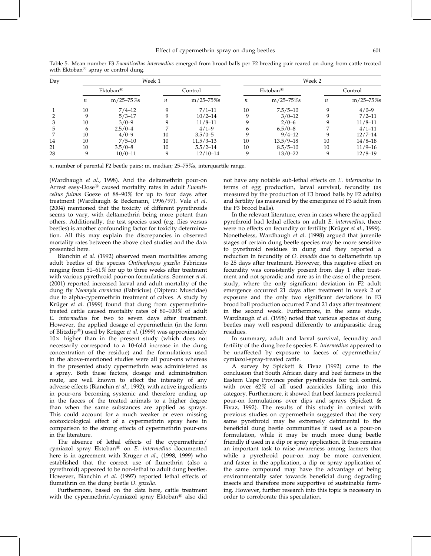| Day |                        |                | Week 1  |                | Week 2      |                |         |                |  |
|-----|------------------------|----------------|---------|----------------|-------------|----------------|---------|----------------|--|
|     | $Ektoban^{\mathbb{B}}$ |                | Control |                | $Ektoban^R$ |                | Control |                |  |
|     | п                      | $m/25 - 75\%s$ | п       | $m/25 - 75\%s$ | п           | $m/25 - 75\%s$ | п       | $m/25 - 75\%s$ |  |
|     | 10                     | $7/4 - 12$     | a       | $7/1 - 11$     | 10          | $7.5/5 - 10$   | Q       | $4/0-9$        |  |
|     | 9                      | $5/3 - 17$     | 9       | $10/2 - 14$    | 9           | $3/0 - 12$     |         | $7/2 - 11$     |  |
|     | 10                     | $3/0-9$        |         | $11/8 - 11$    |             | $2/0 - 6$      |         | $11/8 - 11$    |  |
|     | h                      | $2.5/0 - 4$    |         | $4/1-9$        | h           | $6.5/0 - 8$    |         | $4/1-11$       |  |
|     | 10                     | $4/0-9$        | 10      | $3.5/0 - 5$    |             | $9/4 - 12$     |         | $12/7 - 14$    |  |
| 14  | 10                     | $7/5 - 10$     | 10      | $11.5/3 - 13$  | 10          | $13.5/9 - 18$  | 10      | $14/8 - 18$    |  |
| 21  | 10                     | $3.5/0 - 8$    | 10      | $5.5/2 - 14$   | 10          | $8.5/5 - 10$   | 10      | $11/9-16$      |  |
| 28  | 9                      | $10/0 - 11$    | 9       | $12/10 - 14$   | 9           | $13/0 - 22$    |         | $12/8 - 19$    |  |

Table 5. Mean number F3 Euoniticellus intermedius emerged from brood balls per F2 breeding pair reared on dung from cattle treated with Ektoban<sup>®</sup> spray or control dung.

 $n$ , number of parental F2 beetle pairs; m, median; 25–75%s, interquartile range.

(Wardhaugh et al., 1998). And the deltamethrin pour-on Arrest easy-Dose ${}^{\circledR}$  caused mortality rates in adult Euoniticellus fulvus Goeze of 88–90% for up to four days after treatment (Wardhaugh & Beckmann, 1996/97). Vale et al. (2004) mentioned that the toxicity of different pyrethroids seems to vary, with deltamethrin being more potent than others. Additionally, the test species used (e.g. flies versus beetles) is another confounding factor for toxicity determination. All this may explain the discrepancies in observed mortality rates between the above cited studies and the data presented here.

Bianchin et al. (1992) observed mean mortalities among adult beetles of the species Onthophagus gazella Fabricius ranging from 51–61% for up to three weeks after treatment with various pyrethroid pour-on formulations. Sommer et al. (2001) reported increased larval and adult mortality of the dung fly Neomyia cornicina (Fabricius) (Diptera: Muscidae) due to alpha-cypermethrin treatment of calves. A study by Krüger et al. (1999) found that dung from cypermethrintreated cattle caused mortality rates of 80–100% of adult E. intermedius for two to seven days after treatment. However, the applied dosage of cypermethrin (in the form of Blitzdip®) used by Krüger et al. (1999) was approximately  $10\times$  higher than in the present study (which does not necessarily correspond to a 10-fold increase in the dung concentration of the residue) and the formulations used in the above-mentioned studies were all pour-ons whereas in the presented study cypermethrin was administered as a spray. Both these factors, dosage and administration route, are well known to affect the intensity of any adverse effects (Bianchin et al., 1992); with active ingredients in pour-ons becoming systemic and therefore ending up in the faeces of the treated animals to a higher degree than when the same substances are applied as sprays. This could account for a much weaker or even missing ecotoxicological effect of a cypermethrin spray here in comparison to the strong effects of cypermethrin pour-ons in the literature.

The absence of lethal effects of the cypermethrin/ cymiazol spray Ektoban® on E. intermedius documented here is in agreement with Krüger et al., (1998, 1999) who established that the correct use of flumethrin (also a pyrethroid) appeared to be non-lethal to adult dung beetles. However, Bianchin et al. (1997) reported lethal effects of flumethrin on the dung beetle O. gazella.

Furthermore, based on the data here, cattle treatment with the cypermethrin/cymiazol spray Ektoban $^{\circledR}$  also did

not have any notable sub-lethal effects on E. intermedius in terms of egg production, larval survival, fecundity (as measured by the production of F3 brood balls by F2 adults) and fertility (as measured by the emergence of F3 adult from the F3 brood balls).

In the relevant literature, even in cases where the applied pyrethroid had lethal effects on adult E. intermedius, there were no effects on fecundity or fertility (Krüger *et al.*, 1999). Nonetheless, Wardhaugh et al. (1998) argued that juvenile stages of certain dung beetle species may be more sensitive to pyrethroid residues in dung and they reported a reduction in fecundity of O. binodis due to deltamethrin up to 28 days after treatment. However, this negative effect on fecundity was consistently present from day 1 after treatment and not sporadic and rare as in the case of the present study, where the only significant deviation in F2 adult emergence occurred 21 days after treatment in week 2 of exposure and the only two significant deviations in F3 brood ball production occurred 7 and 21 days after treatment in the second week. Furthermore, in the same study, Wardhaugh et al. (1998) noted that various species of dung beetles may well respond differently to antiparasitic drug residues.

In summary, adult and larval survival, fecundity and fertility of the dung beetle species E. intermedius appeared to be unaffected by exposure to faeces of cypermethrin/ cymiazol-spray-treated cattle.

A survey by Spickett & Fivaz (1992) came to the conclusion that South African dairy and beef farmers in the Eastern Cape Province prefer pyrethroids for tick control, with over 62% of all used acaricides falling into this category. Furthermore, it showed that beef farmers preferred pour-on formulations over dips and sprays (Spickett & Fivaz, 1992). The results of this study in context with previous studies on cypermethrin suggested that the very same pyrethroid may be extremely detrimental to the beneficial dung beetle communities if used as a pour-on formulation, while it may be much more dung beetle friendly if used in a dip or spray application. It thus remains an important task to raise awareness among farmers that while a pyrethroid pour-on may be more convenient and faster in the application, a dip or spray application of the same compound may have the advantage of being environmentally safer towards beneficial dung degrading insects and therefore more supportive of sustainable farming. However, further research into this topic is necessary in order to corroborate this speculation.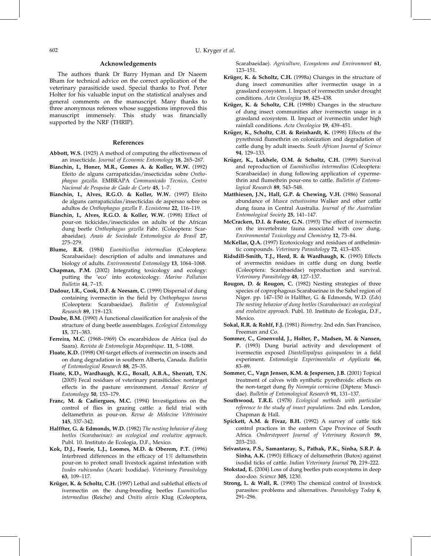## Acknowledgements

The authors thank Dr Barry Hyman and Dr Naeem Bham for technical advice on the correct application of the veterinary parasiticide used. Special thanks to Prof. Peter Holter for his valuable input on the statistical analyses and general comments on the manuscript. Many thanks to three anonymous referees whose suggestions improved this manuscript immensely. This study was financially supported by the NRF (THRIP).

#### References

- Abbott, W.S. (1925) A method of computing the effectiveness of an insecticide. Journal of Economic Entomology 18, 265–267.
- Bianchin, I., Honer, M.R., Gomes A. & Koller, W.W. (1992) Efeito de alguns carrapaticidas/insecticidas sobre Onthophagus gazella. EMBRAPA Communicado Tecnico, Centro Nacional de Pesquisa de Gado de Corte 45, 1–7.
- Bianchin, I., Alves, R.G.O. & Koller, W.W. (1997) Efeito de alguns carrapaticidas/insecticidas de aspersao sobre os adultos de Onthophagus gazella F. Ecosistema 22, 116–119.
- Bianchin, I., Alves, R.G.O. & Koller, W.W. (1998) Effect of pour-on tickicides/insecticides on adults of the African dung beetle Onthophagus gazella Fabr. (Coleoptera: Scarabaeidae). Anais de Sociedade Entomologica do Brasil 27, 275–279.
- Blume, R.R. (1984) Euoniticellus intermedius (Coleoptera: Scarabaeidae): description of adults and immatures and biology of adults. Environmental Entomology 13, 1064–1068.
- Chapman, P.M. (2002) Integrating toxicology and ecology: putting the 'eco' into ecotoxicology. Marine Pollution Bulletin 44, 7–15.
- Dadour, I.R., Cook, D.F. & Neesam, C. (1999) Dispersal of dung containing ivermectin in the field by Onthophagus taurus (Coleoptera: Scarabaeidae). Bulletin of Entomological Research 89, 119–123.
- Doube, B.M. (1990) A functional classification for analysis of the structure of dung beetle assemblages. Ecological Entomology 15, 371–383.
- Ferreira, M.C. (1968–1969) Os escarabideos de Africa (sul do Saara). Revista de Entomologia Moçambique. 11, 5-1088.
- Floate, K.D. (1998) Off-target effects of ivermectin on insects and on dung degradation in southern Alberta, Canada. Bulletin of Entomological Research 88, 25–35.
- Floate, K.D., Wardhaugh, K.G., Boxall, A.B.A., Sherratt, T.N. (2005) Fecal residues of veterinary parasiticides: nontarget effects in the pasture environment. Annual Review of Entomology 50, 153–179.
- Franc, M. & Cadiergues, M.C. (1994) Investigations on the control of flies in grazing cattle: a field trial with deltamethrin as pour-on. Revue de Médecine Vétérinaire 145, 337–342.
- Halffter, G. & Edmonds, W.D. (1982) The nesting behavior of dung beetles (Scarabaeinae): an ecological and evolutive approach. Publ. 10. Instituto de Ecologia, D.F., Mexico.
- Kok, D.J., Fourie, L.J., Loomes, M.D. & Oberem, P.T. (1996) Interbreed differences in the efficacy of 1% deltamethrin pour-on to protect small livestock against infestation with Ixodes rubicundus (Acari: Ixodidae). Veterinary Parasitology 63, 109–117.
- Krüger, K. & Scholtz, C.H. (1997) Lethal and sublethal effects of ivermectin on the dung-breeding beetles Euoniticellus intermedius (Reiche) and Onitis alexis Klug (Coleoptera,

Scarabaeidae). Agriculture, Ecosystems and Environment 61, 123–151.

- Krüger, K. & Scholtz, C.H. (1998a) Changes in the structure of dung insect communities after ivermectin usage in a grassland ecosystem. I. Impact of ivermectin under drought conditions. Acta Oecologica 19, 425–438.
- Krüger, K. & Scholtz, C.H. (1998b) Changes in the structure of dung insect communities after ivermectin usage in a grassland ecosystem. II. Impact of ivermectin under high rainfall conditions. Acta Oecologica 19, 439–451.
- Krüger, K., Scholtz, C.H. & Reinhardt, K. (1998) Effects of the pyrethroid flumethrin on colonization and degradation of cattle dung by adult insects. South African Journal of Science 94, 129–133.
- Krüger, K., Lukhele, O.M. & Scholtz, C.H. (1999) Survival and reproduction of Euoniticellus intermedius (Coleoptera: Scarabaeidae) in dung following application of cypermethrin and flumethrin pour-ons to cattle. Bulletin of Entomological Research 89, 543–548.
- Matthiesen, J.N., Hall, G.P. & Chewing, V.H. (1986) Seasonal abundance of Musca vetustissima Walker and other cattle dung fauna in Central Australia. Journal of the Australian Entomological Society 25, 141–147.
- McCracken, D.I. & Foster, G.N. (1993) The effect of ivermectin on the invertebrate fauna associated with cow dung. Environmental Toxicology and Chemistry 12, 73–84.
- McKellar, Q.A. (1997) Ecotoxicology and residues of anthelmintic compounds. Veterinary Parasitology 72, 413–435.
- Ridsdill-Smith, T.J., Herd, R. & Wardhaugh, K. (1993) Effects of avermectin residues in cattle dung on dung beetle (Coleoptera: Scarabaeidae) reproduction and survival. Veterinary Parasitology 48, 127–137.
- Rougon, D. & Rougon, C. (1982) Nesting strategies of three species of coprophagous Scarabaeinae in the Sahel region of Niger. pp. 147–150 in Halffter, G. & Edmonds, W.D. (Eds) The nesting behavior of dung beetles (Scarabaeinae): an ecological and evolutive approach. Publ. 10. Instituto de Ecologia, D.F., Mexico.
- Sokal, R.R. & Rohlf, F.J. (1981) Biometry. 2nd edn. San Francisco, Freeman and Co.
- Sommer, C., Groenvold, J., Holter, P., Madsen, M. & Nansen, P. (1993) Dung burial activity and development of ivermectin exposed Diastellopalpus quinquedens in a field experiment. Entomologia Experimentalis et Applicata 66, 83–89.
- Sommer, C., Vagn Jensen, K.M. & Jespersen, J.B. (2001) Topical treatment of calves with synthetic pyrethroids: effects on the non-target dung fly Neomyia cornicina (Diptera: Muscidae). Bulletin of Entomological Research 91, 131-137.
- Southwood, T.R.E. (1978) Ecological methods with particular reference to the study of insect populations. 2nd edn. London, Chapman & Hall.
- Spickett, A.M. & Fivaz, B.H. (1992) A survey of cattle tick control practices in the eastern Cape Province of South Africa. Onderstepoort Journal of Veterinary Research 59, 203–210.
- Srivastava, P.S., Samantaray, S., Pathak, P.K., Sinha, S.R.P. & Sinha, A.K. (1993) Efficacy of deltamethrin (Butox) against ixodid ticks of cattle. Indian Veterinary Journal 70, 219–222.
- Stokstad, E. (2004) Loss of dung beetles puts ecosystems in deep doo-doo. Science 305, 1230.
- Strong, L. & Wall, R. (1990) The chemical control of livestock parasites: problems and alternatives. Parasitology Today 6, 291–296.